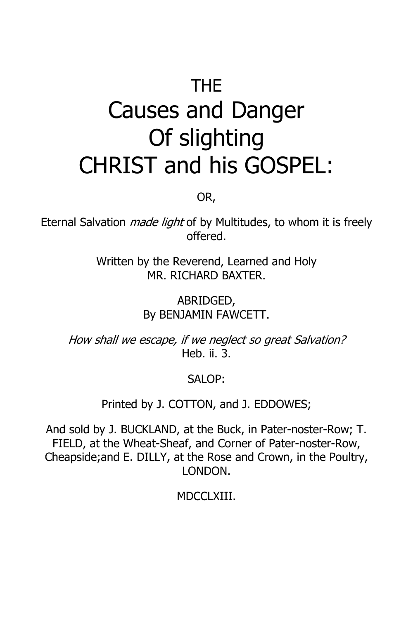# THE Causes and Danger Of slighting CHRIST and his GOSPEL:

OR,

Eternal Salvation *made light* of by Multitudes, to whom it is freely offered.

> Written by the Reverend, Learned and Holy MR. RICHARD BAXTER.

> > ABRIDGED, By BENJAMIN FAWCETT.

How shall we escape, if we neglect so great Salvation? Heb. ii. 3.

SALOP:

Printed by J. COTTON, and J. EDDOWES;

And sold by J. BUCKLAND, at the Buck, in Pater-noster-Row; T. FIELD, at the Wheat-Sheaf, and Corner of Pater-noster-Row, Cheapside;and E. DILLY, at the Rose and Crown, in the Poultry, LONDON.

MDCCLXIII.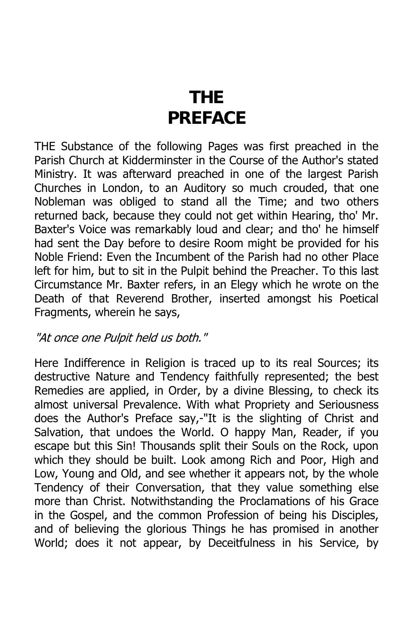# **THE PREFACE**

THE Substance of the following Pages was first preached in the Parish Church at Kidderminster in the Course of the Author's stated Ministry. It was afterward preached in one of the largest Parish Churches in London, to an Auditory so much crouded, that one Nobleman was obliged to stand all the Time; and two others returned back, because they could not get within Hearing, tho' Mr. Baxter's Voice was remarkably loud and clear; and tho' he himself had sent the Day before to desire Room might be provided for his Noble Friend: Even the Incumbent of the Parish had no other Place left for him, but to sit in the Pulpit behind the Preacher. To this last Circumstance Mr. Baxter refers, in an Elegy which he wrote on the Death of that Reverend Brother, inserted amongst his Poetical Fragments, wherein he says,

### "At once one Pulpit held us both."

Here Indifference in Religion is traced up to its real Sources; its destructive Nature and Tendency faithfully represented; the best Remedies are applied, in Order, by a divine Blessing, to check its almost universal Prevalence. With what Propriety and Seriousness does the Author's Preface say,-"It is the slighting of Christ and Salvation, that undoes the World. O happy Man, Reader, if you escape but this Sin! Thousands split their Souls on the Rock, upon which they should be built. Look among Rich and Poor, High and Low, Young and Old, and see whether it appears not, by the whole Tendency of their Conversation, that they value something else more than Christ. Notwithstanding the Proclamations of his Grace in the Gospel, and the common Profession of being his Disciples, and of believing the glorious Things he has promised in another World; does it not appear, by Deceitfulness in his Service, by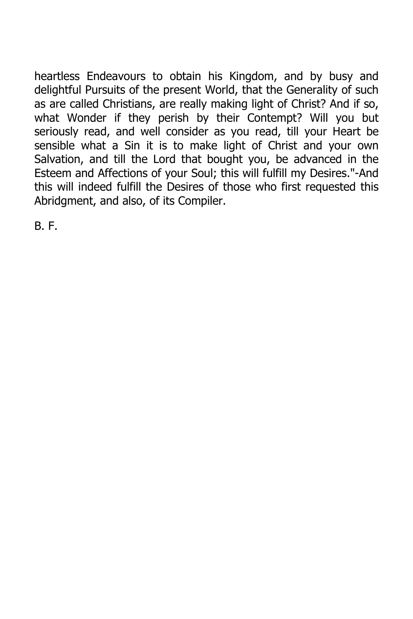heartless Endeavours to obtain his Kingdom, and by busy and delightful Pursuits of the present World, that the Generality of such as are called Christians, are really making light of Christ? And if so, what Wonder if they perish by their Contempt? Will you but seriously read, and well consider as you read, till your Heart be sensible what a Sin it is to make light of Christ and your own Salvation, and till the Lord that bought you, be advanced in the Esteem and Affections of your Soul; this will fulfill my Desires."-And this will indeed fulfill the Desires of those who first requested this Abridgment, and also, of its Compiler.

B. F.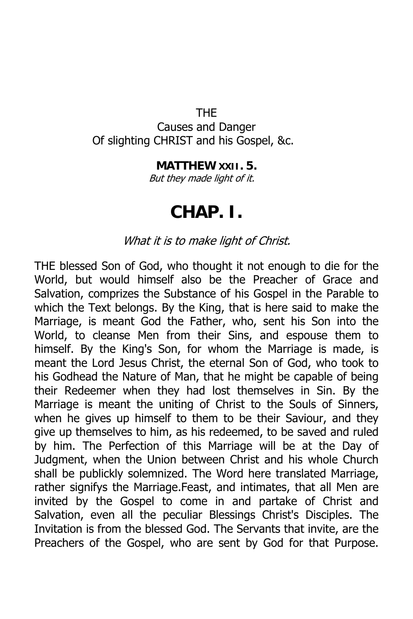#### THE

Causes and Danger Of slighting CHRIST and his Gospel, &c.

#### **MATTHEW XXII. 5.**

But they made light of it.

### **CHAP. I.**

### What it is to make light of Christ.

THE blessed Son of God, who thought it not enough to die for the World, but would himself also be the Preacher of Grace and Salvation, comprizes the Substance of his Gospel in the Parable to which the Text belongs. By the King, that is here said to make the Marriage, is meant God the Father, who, sent his Son into the World, to cleanse Men from their Sins, and espouse them to himself. By the King's Son, for whom the Marriage is made, is meant the Lord Jesus Christ, the eternal Son of God, who took to his Godhead the Nature of Man, that he might be capable of being their Redeemer when they had lost themselves in Sin. By the Marriage is meant the uniting of Christ to the Souls of Sinners, when he gives up himself to them to be their Saviour, and they give up themselves to him, as his redeemed, to be saved and ruled by him. The Perfection of this Marriage will be at the Day of Judgment, when the Union between Christ and his whole Church shall be publickly solemnized. The Word here translated Marriage, rather signifys the Marriage.Feast, and intimates, that all Men are invited by the Gospel to come in and partake of Christ and Salvation, even all the peculiar Blessings Christ's Disciples. The Invitation is from the blessed God. The Servants that invite, are the Preachers of the Gospel, who are sent by God for that Purpose.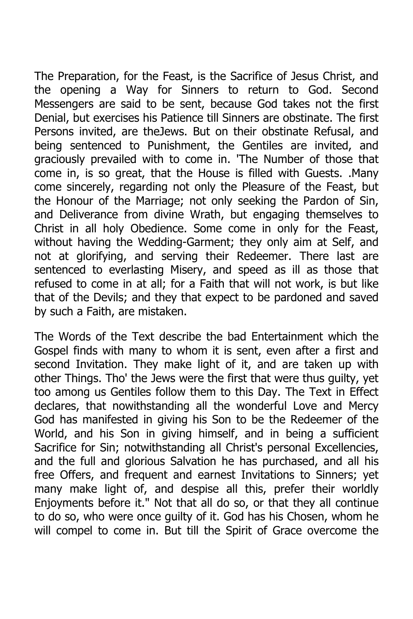The Preparation, for the Feast, is the Sacrifice of Jesus Christ, and the opening a Way for Sinners to return to God. Second Messengers are said to be sent, because God takes not the first Denial, but exercises his Patience till Sinners are obstinate. The first Persons invited, are theJews. But on their obstinate Refusal, and being sentenced to Punishment, the Gentiles are invited, and graciously prevailed with to come in. 'The Number of those that come in, is so great, that the House is filled with Guests. .Many come sincerely, regarding not only the Pleasure of the Feast, but the Honour of the Marriage; not only seeking the Pardon of Sin, and Deliverance from divine Wrath, but engaging themselves to Christ in all holy Obedience. Some come in only for the Feast, without having the Wedding-Garment; they only aim at Self, and not at glorifying, and serving their Redeemer. There last are sentenced to everlasting Misery, and speed as ill as those that refused to come in at all; for a Faith that will not work, is but like that of the Devils; and they that expect to be pardoned and saved by such a Faith, are mistaken.

The Words of the Text describe the bad Entertainment which the Gospel finds with many to whom it is sent, even after a first and second Invitation. They make light of it, and are taken up with other Things. Tho' the Jews were the first that were thus guilty, yet too among us Gentiles follow them to this Day. The Text in Effect declares, that nowithstanding all the wonderful Love and Mercy God has manifested in giving his Son to be the Redeemer of the World, and his Son in giving himself, and in being a sufficient Sacrifice for Sin; notwithstanding all Christ's personal Excellencies, and the full and glorious Salvation he has purchased, and all his free Offers, and frequent and earnest Invitations to Sinners; yet many make light of, and despise all this, prefer their worldly Enjoyments before it." Not that all do so, or that they all continue to do so, who were once guilty of it. God has his Chosen, whom he will compel to come in. But till the Spirit of Grace overcome the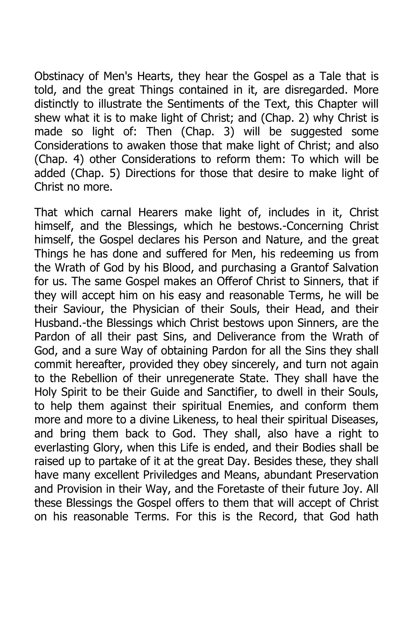Obstinacy of Men's Hearts, they hear the Gospel as a Tale that is told, and the great Things contained in it, are disregarded. More distinctly to illustrate the Sentiments of the Text, this Chapter will shew what it is to make light of Christ; and (Chap. 2) why Christ is made so light of: Then (Chap. 3) will be suggested some Considerations to awaken those that make light of Christ; and also (Chap. 4) other Considerations to reform them: To which will be added (Chap. 5) Directions for those that desire to make light of Christ no more.

That which carnal Hearers make light of, includes in it, Christ himself, and the Blessings, which he bestows.-Concerning Christ himself, the Gospel declares his Person and Nature, and the great Things he has done and suffered for Men, his redeeming us from the Wrath of God by his Blood, and purchasing a Grantof Salvation for us. The same Gospel makes an Offerof Christ to Sinners, that if they will accept him on his easy and reasonable Terms, he will be their Saviour, the Physician of their Souls, their Head, and their Husband.-the Blessings which Christ bestows upon Sinners, are the Pardon of all their past Sins, and Deliverance from the Wrath of God, and a sure Way of obtaining Pardon for all the Sins they shall commit hereafter, provided they obey sincerely, and turn not again to the Rebellion of their unregenerate State. They shall have the Holy Spirit to be their Guide and Sanctifier, to dwell in their Souls, to help them against their spiritual Enemies, and conform them more and more to a divine Likeness, to heal their spiritual Diseases, and bring them back to God. They shall, also have a right to everlasting Glory, when this Life is ended, and their Bodies shall be raised up to partake of it at the great Day. Besides these, they shall have many excellent Priviledges and Means, abundant Preservation and Provision in their Way, and the Foretaste of their future Joy. All these Blessings the Gospel offers to them that will accept of Christ on his reasonable Terms. For this is the Record, that God hath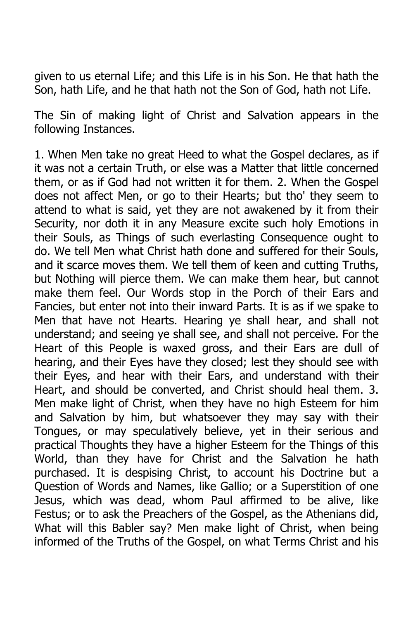given to us eternal Life; and this Life is in his Son. He that hath the Son, hath Life, and he that hath not the Son of God, hath not Life.

The Sin of making light of Christ and Salvation appears in the following Instances.

1. When Men take no great Heed to what the Gospel declares, as if it was not a certain Truth, or else was a Matter that little concerned them, or as if God had not written it for them. 2. When the Gospel does not affect Men, or go to their Hearts; but tho' they seem to attend to what is said, yet they are not awakened by it from their Security, nor doth it in any Measure excite such holy Emotions in their Souls, as Things of such everlasting Consequence ought to do. We tell Men what Christ hath done and suffered for their Souls, and it scarce moves them. We tell them of keen and cutting Truths, but Nothing will pierce them. We can make them hear, but cannot make them feel. Our Words stop in the Porch of their Ears and Fancies, but enter not into their inward Parts. It is as if we spake to Men that have not Hearts. Hearing ye shall hear, and shall not understand; and seeing ye shall see, and shall not perceive. For the Heart of this People is waxed gross, and their Ears are dull of hearing, and their Eyes have they closed; lest they should see with their Eyes, and hear with their Ears, and understand with their Heart, and should be converted, and Christ should heal them. 3. Men make light of Christ, when they have no high Esteem for him and Salvation by him, but whatsoever they may say with their Tongues, or may speculatively believe, yet in their serious and practical Thoughts they have a higher Esteem for the Things of this World, than they have for Christ and the Salvation he hath purchased. It is despising Christ, to account his Doctrine but a Question of Words and Names, like Gallio; or a Superstition of one Jesus, which was dead, whom Paul affirmed to be alive, like Festus; or to ask the Preachers of the Gospel, as the Athenians did, What will this Babler say? Men make light of Christ, when being informed of the Truths of the Gospel, on what Terms Christ and his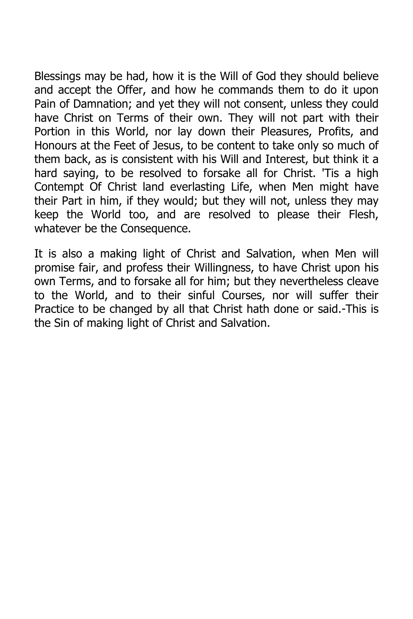Blessings may be had, how it is the Will of God they should believe and accept the Offer, and how he commands them to do it upon Pain of Damnation; and yet they will not consent, unless they could have Christ on Terms of their own. They will not part with their Portion in this World, nor lay down their Pleasures, Profits, and Honours at the Feet of Jesus, to be content to take only so much of them back, as is consistent with his Will and Interest, but think it a hard saying, to be resolved to forsake all for Christ. 'Tis a high Contempt Of Christ land everlasting Life, when Men might have their Part in him, if they would; but they will not, unless they may keep the World too, and are resolved to please their Flesh, whatever be the Consequence.

It is also a making light of Christ and Salvation, when Men will promise fair, and profess their Willingness, to have Christ upon his own Terms, and to forsake all for him; but they nevertheless cleave to the World, and to their sinful Courses, nor will suffer their Practice to be changed by all that Christ hath done or said.-This is the Sin of making light of Christ and Salvation.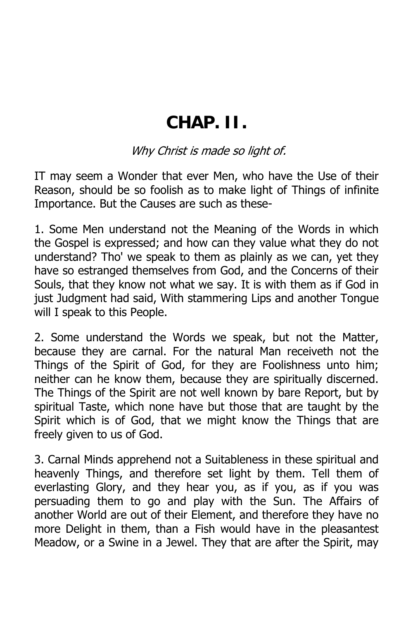### **CHAP. II.**

Why Christ is made so light of.

IT may seem a Wonder that ever Men, who have the Use of their Reason, should be so foolish as to make light of Things of infinite Importance. But the Causes are such as these-

1. Some Men understand not the Meaning of the Words in which the Gospel is expressed; and how can they value what they do not understand? Tho' we speak to them as plainly as we can, yet they have so estranged themselves from God, and the Concerns of their Souls, that they know not what we say. It is with them as if God in just Judgment had said, With stammering Lips and another Tongue will I speak to this People.

2. Some understand the Words we speak, but not the Matter, because they are carnal. For the natural Man receiveth not the Things of the Spirit of God, for they are Foolishness unto him; neither can he know them, because they are spiritually discerned. The Things of the Spirit are not well known by bare Report, but by spiritual Taste, which none have but those that are taught by the Spirit which is of God, that we might know the Things that are freely given to us of God.

3. Carnal Minds apprehend not a Suitableness in these spiritual and heavenly Things, and therefore set light by them. Tell them of everlasting Glory, and they hear you, as if you, as if you was persuading them to go and play with the Sun. The Affairs of another World are out of their Element, and therefore they have no more Delight in them, than a Fish would have in the pleasantest Meadow, or a Swine in a Jewel. They that are after the Spirit, may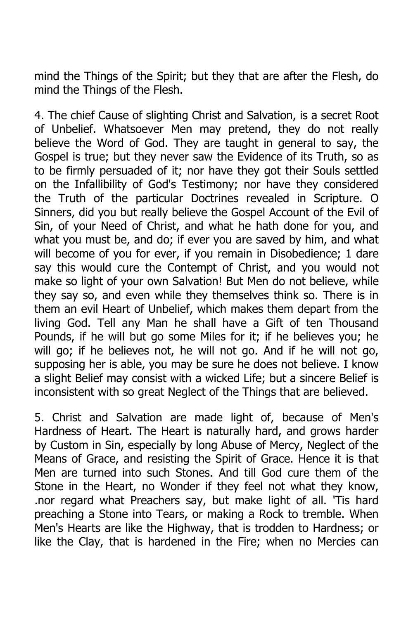mind the Things of the Spirit; but they that are after the Flesh, do mind the Things of the Flesh.

4. The chief Cause of slighting Christ and Salvation, is a secret Root of Unbelief. Whatsoever Men may pretend, they do not really believe the Word of God. They are taught in general to say, the Gospel is true; but they never saw the Evidence of its Truth, so as to be firmly persuaded of it; nor have they got their Souls settled on the Infallibility of God's Testimony; nor have they considered the Truth of the particular Doctrines revealed in Scripture. O Sinners, did you but really believe the Gospel Account of the Evil of Sin, of your Need of Christ, and what he hath done for you, and what you must be, and do; if ever you are saved by him, and what will become of you for ever, if you remain in Disobedience; 1 dare say this would cure the Contempt of Christ, and you would not make so light of your own Salvation! But Men do not believe, while they say so, and even while they themselves think so. There is in them an evil Heart of Unbelief, which makes them depart from the living God. Tell any Man he shall have a Gift of ten Thousand Pounds, if he will but go some Miles for it; if he believes you; he will go; if he believes not, he will not go. And if he will not go, supposing her is able, you may be sure he does not believe. I know a slight Belief may consist with a wicked Life; but a sincere Belief is inconsistent with so great Neglect of the Things that are believed.

5. Christ and Salvation are made light of, because of Men's Hardness of Heart. The Heart is naturally hard, and grows harder by Custom in Sin, especially by long Abuse of Mercy, Neglect of the Means of Grace, and resisting the Spirit of Grace. Hence it is that Men are turned into such Stones. And till God cure them of the Stone in the Heart, no Wonder if they feel not what they know, .nor regard what Preachers say, but make light of all. 'Tis hard preaching a Stone into Tears, or making a Rock to tremble. When Men's Hearts are like the Highway, that is trodden to Hardness; or like the Clay, that is hardened in the Fire; when no Mercies can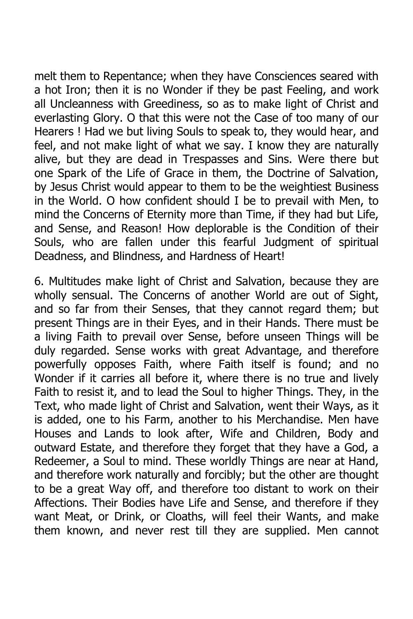melt them to Repentance; when they have Consciences seared with a hot Iron; then it is no Wonder if they be past Feeling, and work all Uncleanness with Greediness, so as to make light of Christ and everlasting Glory. O that this were not the Case of too many of our Hearers ! Had we but living Souls to speak to, they would hear, and feel, and not make light of what we say. I know they are naturally alive, but they are dead in Trespasses and Sins. Were there but one Spark of the Life of Grace in them, the Doctrine of Salvation, by Jesus Christ would appear to them to be the weightiest Business in the World. O how confident should I be to prevail with Men, to mind the Concerns of Eternity more than Time, if they had but Life, and Sense, and Reason! How deplorable is the Condition of their Souls, who are fallen under this fearful Judgment of spiritual Deadness, and Blindness, and Hardness of Heart!

6. Multitudes make light of Christ and Salvation, because they are wholly sensual. The Concerns of another World are out of Sight, and so far from their Senses, that they cannot regard them; but present Things are in their Eyes, and in their Hands. There must be a living Faith to prevail over Sense, before unseen Things will be duly regarded. Sense works with great Advantage, and therefore powerfully opposes Faith, where Faith itself is found; and no Wonder if it carries all before it, where there is no true and lively Faith to resist it, and to lead the Soul to higher Things. They, in the Text, who made light of Christ and Salvation, went their Ways, as it is added, one to his Farm, another to his Merchandise. Men have Houses and Lands to look after, Wife and Children, Body and outward Estate, and therefore they forget that they have a God, a Redeemer, a Soul to mind. These worldly Things are near at Hand, and therefore work naturally and forcibly; but the other are thought to be a great Way off, and therefore too distant to work on their Affections. Their Bodies have Life and Sense, and therefore if they want Meat, or Drink, or Cloaths, will feel their Wants, and make them known, and never rest till they are supplied. Men cannot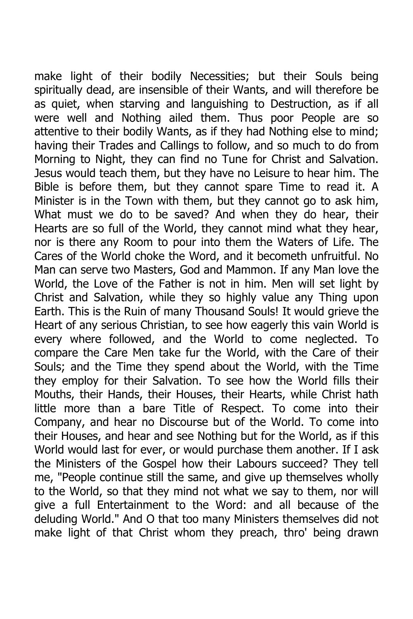make light of their bodily Necessities; but their Souls being spiritually dead, are insensible of their Wants, and will therefore be as quiet, when starving and languishing to Destruction, as if all were well and Nothing ailed them. Thus poor People are so attentive to their bodily Wants, as if they had Nothing else to mind; having their Trades and Callings to follow, and so much to do from Morning to Night, they can find no Tune for Christ and Salvation. Jesus would teach them, but they have no Leisure to hear him. The Bible is before them, but they cannot spare Time to read it. A Minister is in the Town with them, but they cannot go to ask him, What must we do to be saved? And when they do hear, their Hearts are so full of the World, they cannot mind what they hear, nor is there any Room to pour into them the Waters of Life. The Cares of the World choke the Word, and it becometh unfruitful. No Man can serve two Masters, God and Mammon. If any Man love the World, the Love of the Father is not in him. Men will set light by Christ and Salvation, while they so highly value any Thing upon Earth. This is the Ruin of many Thousand Souls! It would grieve the Heart of any serious Christian, to see how eagerly this vain World is every where followed, and the World to come neglected. To compare the Care Men take fur the World, with the Care of their Souls; and the Time they spend about the World, with the Time they employ for their Salvation. To see how the World fills their Mouths, their Hands, their Houses, their Hearts, while Christ hath little more than a bare Title of Respect. To come into their Company, and hear no Discourse but of the World. To come into their Houses, and hear and see Nothing but for the World, as if this World would last for ever, or would purchase them another. If I ask the Ministers of the Gospel how their Labours succeed? They tell me, "People continue still the same, and give up themselves wholly to the World, so that they mind not what we say to them, nor will give a full Entertainment to the Word: and all because of the deluding World." And O that too many Ministers themselves did not make light of that Christ whom they preach, thro' being drawn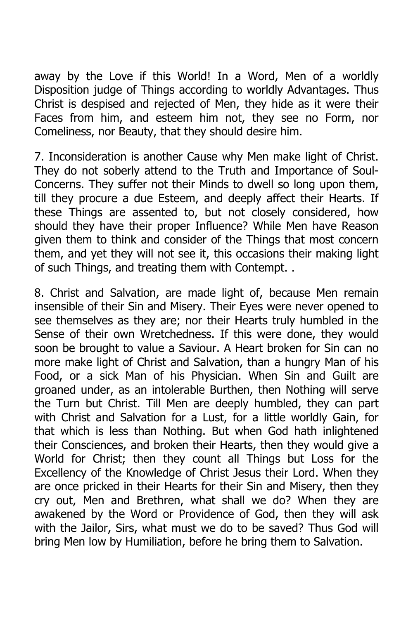away by the Love if this World! In a Word, Men of a worldly Disposition judge of Things according to worldly Advantages. Thus Christ is despised and rejected of Men, they hide as it were their Faces from him, and esteem him not, they see no Form, nor Comeliness, nor Beauty, that they should desire him.

7. Inconsideration is another Cause why Men make light of Christ. They do not soberly attend to the Truth and Importance of Soul-Concerns. They suffer not their Minds to dwell so long upon them, till they procure a due Esteem, and deeply affect their Hearts. If these Things are assented to, but not closely considered, how should they have their proper Influence? While Men have Reason given them to think and consider of the Things that most concern them, and yet they will not see it, this occasions their making light of such Things, and treating them with Contempt. .

8. Christ and Salvation, are made light of, because Men remain insensible of their Sin and Misery. Their Eyes were never opened to see themselves as they are; nor their Hearts truly humbled in the Sense of their own Wretchedness. If this were done, they would soon be brought to value a Saviour. A Heart broken for Sin can no more make light of Christ and Salvation, than a hungry Man of his Food, or a sick Man of his Physician. When Sin and Guilt are groaned under, as an intolerable Burthen, then Nothing will serve the Turn but Christ. Till Men are deeply humbled, they can part with Christ and Salvation for a Lust, for a little worldly Gain, for that which is less than Nothing. But when God hath inlightened their Consciences, and broken their Hearts, then they would give a World for Christ; then they count all Things but Loss for the Excellency of the Knowledge of Christ Jesus their Lord. When they are once pricked in their Hearts for their Sin and Misery, then they cry out, Men and Brethren, what shall we do? When they are awakened by the Word or Providence of God, then they will ask with the Jailor, Sirs, what must we do to be saved? Thus God will bring Men low by Humiliation, before he bring them to Salvation.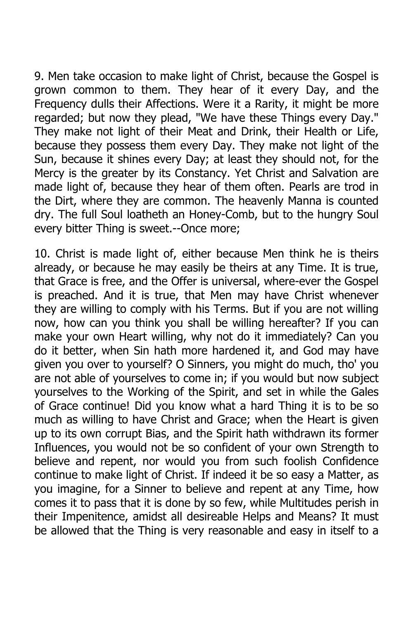9. Men take occasion to make light of Christ, because the Gospel is grown common to them. They hear of it every Day, and the Frequency dulls their Affections. Were it a Rarity, it might be more regarded; but now they plead, "We have these Things every Day." They make not light of their Meat and Drink, their Health or Life, because they possess them every Day. They make not light of the Sun, because it shines every Day; at least they should not, for the Mercy is the greater by its Constancy. Yet Christ and Salvation are made light of, because they hear of them often. Pearls are trod in the Dirt, where they are common. The heavenly Manna is counted dry. The full Soul loatheth an Honey-Comb, but to the hungry Soul every bitter Thing is sweet.--Once more;

10. Christ is made light of, either because Men think he is theirs already, or because he may easily be theirs at any Time. It is true, that Grace is free, and the Offer is universal, where-ever the Gospel is preached. And it is true, that Men may have Christ whenever they are willing to comply with his Terms. But if you are not willing now, how can you think you shall be willing hereafter? If you can make your own Heart willing, why not do it immediately? Can you do it better, when Sin hath more hardened it, and God may have given you over to yourself? O Sinners, you might do much, tho' you are not able of yourselves to come in; if you would but now subject yourselves to the Working of the Spirit, and set in while the Gales of Grace continue! Did you know what a hard Thing it is to be so much as willing to have Christ and Grace; when the Heart is given up to its own corrupt Bias, and the Spirit hath withdrawn its former Influences, you would not be so confident of your own Strength to believe and repent, nor would you from such foolish Confidence continue to make light of Christ. If indeed it be so easy a Matter, as you imagine, for a Sinner to believe and repent at any Time, how comes it to pass that it is done by so few, while Multitudes perish in their Impenitence, amidst all desireable Helps and Means? It must be allowed that the Thing is very reasonable and easy in itself to a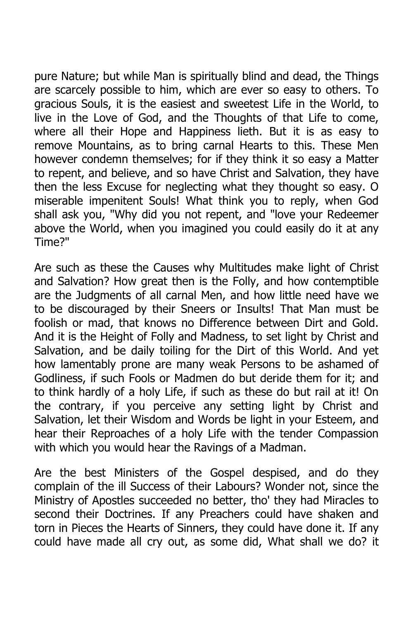pure Nature; but while Man is spiritually blind and dead, the Things are scarcely possible to him, which are ever so easy to others. To gracious Souls, it is the easiest and sweetest Life in the World, to live in the Love of God, and the Thoughts of that Life to come, where all their Hope and Happiness lieth. But it is as easy to remove Mountains, as to bring carnal Hearts to this. These Men however condemn themselves; for if they think it so easy a Matter to repent, and believe, and so have Christ and Salvation, they have then the less Excuse for neglecting what they thought so easy. O miserable impenitent Souls! What think you to reply, when God shall ask you, "Why did you not repent, and "love your Redeemer above the World, when you imagined you could easily do it at any Time?"

Are such as these the Causes why Multitudes make light of Christ and Salvation? How great then is the Folly, and how contemptible are the Judgments of all carnal Men, and how little need have we to be discouraged by their Sneers or Insults! That Man must be foolish or mad, that knows no Difference between Dirt and Gold. And it is the Height of Folly and Madness, to set light by Christ and Salvation, and be daily toiling for the Dirt of this World. And yet how lamentably prone are many weak Persons to be ashamed of Godliness, if such Fools or Madmen do but deride them for it; and to think hardly of a holy Life, if such as these do but rail at it! On the contrary, if you perceive any setting light by Christ and Salvation, let their Wisdom and Words be light in your Esteem, and hear their Reproaches of a holy Life with the tender Compassion with which you would hear the Ravings of a Madman.

Are the best Ministers of the Gospel despised, and do they complain of the ill Success of their Labours? Wonder not, since the Ministry of Apostles succeeded no better, tho' they had Miracles to second their Doctrines. If any Preachers could have shaken and torn in Pieces the Hearts of Sinners, they could have done it. If any could have made all cry out, as some did, What shall we do? it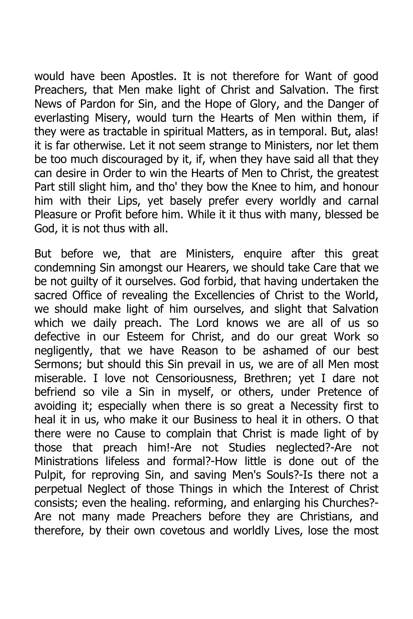would have been Apostles. It is not therefore for Want of good Preachers, that Men make light of Christ and Salvation. The first News of Pardon for Sin, and the Hope of Glory, and the Danger of everlasting Misery, would turn the Hearts of Men within them, if they were as tractable in spiritual Matters, as in temporal. But, alas! it is far otherwise. Let it not seem strange to Ministers, nor let them be too much discouraged by it, if, when they have said all that they can desire in Order to win the Hearts of Men to Christ, the greatest Part still slight him, and tho' they bow the Knee to him, and honour him with their Lips, yet basely prefer every worldly and carnal Pleasure or Profit before him. While it it thus with many, blessed be God, it is not thus with all.

But before we, that are Ministers, enquire after this great condemning Sin amongst our Hearers, we should take Care that we be not guilty of it ourselves. God forbid, that having undertaken the sacred Office of revealing the Excellencies of Christ to the World, we should make light of him ourselves, and slight that Salvation which we daily preach. The Lord knows we are all of us so defective in our Esteem for Christ, and do our great Work so negligently, that we have Reason to be ashamed of our best Sermons; but should this Sin prevail in us, we are of all Men most miserable. I love not Censoriousness, Brethren; yet I dare not befriend so vile a Sin in myself, or others, under Pretence of avoiding it; especially when there is so great a Necessity first to heal it in us, who make it our Business to heal it in others. O that there were no Cause to complain that Christ is made light of by those that preach him!-Are not Studies neglected?-Are not Ministrations lifeless and formal?-How little is done out of the Pulpit, for reproving Sin, and saving Men's Souls?-Is there not a perpetual Neglect of those Things in which the Interest of Christ consists; even the healing. reforming, and enlarging his Churches?- Are not many made Preachers before they are Christians, and therefore, by their own covetous and worldly Lives, lose the most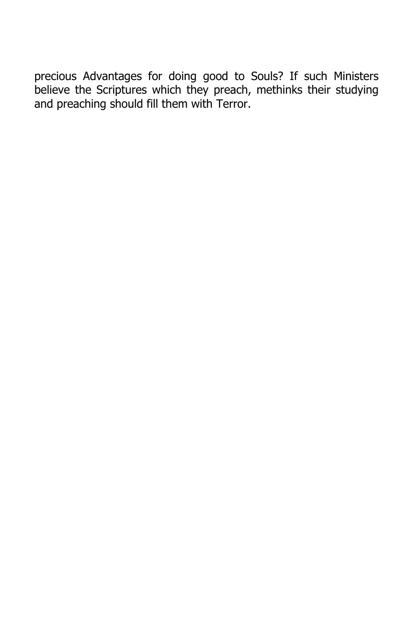precious Advantages for doing good to Souls? If such Ministers believe the Scriptures which they preach, methinks their studying and preaching should fill them with Terror.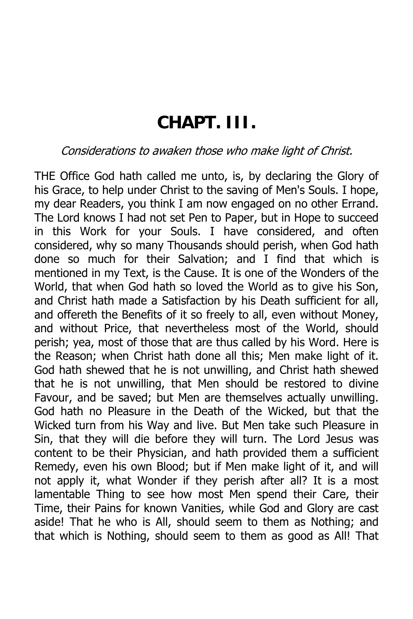### **CHAPT. III.**

#### Considerations to awaken those who make light of Christ.

THE Office God hath called me unto, is, by declaring the Glory of his Grace, to help under Christ to the saving of Men's Souls. I hope, my dear Readers, you think I am now engaged on no other Errand. The Lord knows I had not set Pen to Paper, but in Hope to succeed in this Work for your Souls. I have considered, and often considered, why so many Thousands should perish, when God hath done so much for their Salvation; and I find that which is mentioned in my Text, is the Cause. It is one of the Wonders of the World, that when God hath so loved the World as to give his Son, and Christ hath made a Satisfaction by his Death sufficient for all, and offereth the Benefits of it so freely to all, even without Money, and without Price, that nevertheless most of the World, should perish; yea, most of those that are thus called by his Word. Here is the Reason; when Christ hath done all this; Men make light of it. God hath shewed that he is not unwilling, and Christ hath shewed that he is not unwilling, that Men should be restored to divine Favour, and be saved; but Men are themselves actually unwilling. God hath no Pleasure in the Death of the Wicked, but that the Wicked turn from his Way and live. But Men take such Pleasure in Sin, that they will die before they will turn. The Lord Jesus was content to be their Physician, and hath provided them a sufficient Remedy, even his own Blood; but if Men make light of it, and will not apply it, what Wonder if they perish after all? It is a most lamentable Thing to see how most Men spend their Care, their Time, their Pains for known Vanities, while God and Glory are cast aside! That he who is All, should seem to them as Nothing; and that which is Nothing, should seem to them as good as All! That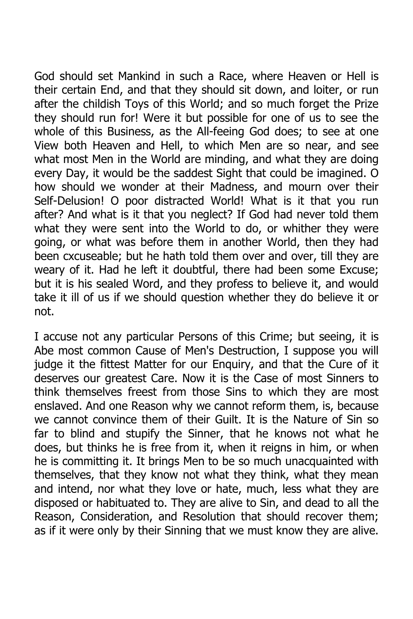God should set Mankind in such a Race, where Heaven or Hell is their certain End, and that they should sit down, and loiter, or run after the childish Toys of this World; and so much forget the Prize they should run for! Were it but possible for one of us to see the whole of this Business, as the All-feeing God does; to see at one View both Heaven and Hell, to which Men are so near, and see what most Men in the World are minding, and what they are doing every Day, it would be the saddest Sight that could be imagined. O how should we wonder at their Madness, and mourn over their Self-Delusion! O poor distracted World! What is it that you run after? And what is it that you neglect? If God had never told them what they were sent into the World to do, or whither they were going, or what was before them in another World, then they had been cxcuseable; but he hath told them over and over, till they are weary of it. Had he left it doubtful, there had been some Excuse; but it is his sealed Word, and they profess to believe it, and would take it ill of us if we should question whether they do believe it or not.

I accuse not any particular Persons of this Crime; but seeing, it is Abe most common Cause of Men's Destruction, I suppose you will judge it the fittest Matter for our Enquiry, and that the Cure of it deserves our greatest Care. Now it is the Case of most Sinners to think themselves freest from those Sins to which they are most enslaved. And one Reason why we cannot reform them, is, because we cannot convince them of their Guilt. It is the Nature of Sin so far to blind and stupify the Sinner, that he knows not what he does, but thinks he is free from it, when it reigns in him, or when he is committing it. It brings Men to be so much unacquainted with themselves, that they know not what they think, what they mean and intend, nor what they love or hate, much, less what they are disposed or habituated to. They are alive to Sin, and dead to all the Reason, Consideration, and Resolution that should recover them; as if it were only by their Sinning that we must know they are alive.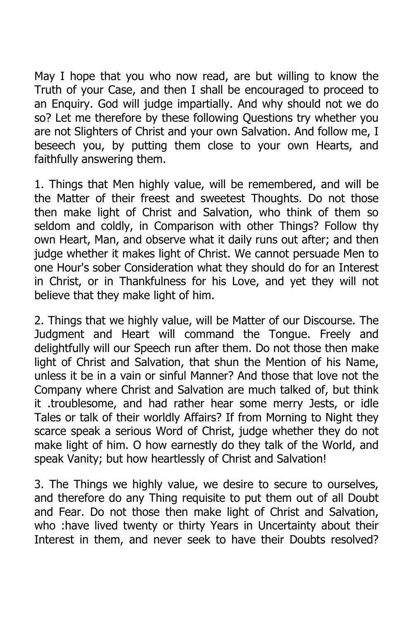May I hope that you who now read, are but willing to know the Truth of your Case, and then I shall be encouraged to proceed to an Enquiry. God will judge impartially. And why should not we do so? Let me therefore by these following Questions try whether you are not Slighters of Christ and your own Salvation. And follow me, I beseech you, by putting them close to your own Hearts, and faithfully answering them.

1. Things that Men highly value, will be remembered, and will be the Matter of their freest and sweetest Thoughts. Do not those then make light of Christ and Salvation, who think of them so seldom and coldly, in Comparison with other Things? Follow thy own Heart, Man, and observe what it daily runs out after; and then judge whether it makes light of Christ. We cannot persuade Men to one Hour's sober Consideration what they should do for an Interest in Christ, or in Thankfulness for his Love, and yet they will not believe that they make light of him.

2. Things that we highly value, will be Matter of our Discourse. The Judgment and Heart will command the Tongue. Freely and delightfully will our Speech run after them. Do not those then make light of Christ and Salvation, that shun the Mention of his Name, unless it be in a vain or sinful Manner? And those that love not the Company where Christ and Salvation are much talked of, but think it .troublesome, and had rather hear some merry Jests, or idle Tales or talk of their worldly Affairs? If from Morning to Night they scarce speak a serious Word of Christ, judge whether they do not make light of him. O how earnestly do they talk of the World, and speak Vanity; but how heartlessly of Christ and Salvation!

3. The Things we highly value, we desire to secure to ourselves, and therefore do any Thing requisite to put them out of all Doubt and Fear. Do not those then make light of Christ and Salvation, who :have lived twenty or thirty Years in Uncertainty about their Interest in them, and never seek to have their Doubts resolved?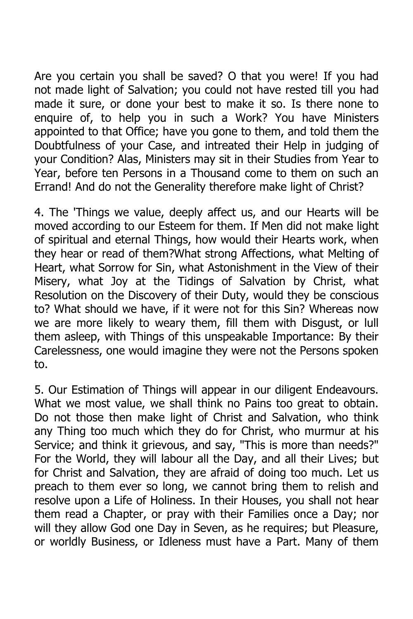Are you certain you shall be saved? O that you were! If you had not made light of Salvation; you could not have rested till you had made it sure, or done your best to make it so. Is there none to enquire of, to help you in such a Work? You have Ministers appointed to that Office; have you gone to them, and told them the Doubtfulness of your Case, and intreated their Help in judging of your Condition? Alas, Ministers may sit in their Studies from Year to Year, before ten Persons in a Thousand come to them on such an Errand! And do not the Generality therefore make light of Christ?

4. The 'Things we value, deeply affect us, and our Hearts will be moved according to our Esteem for them. If Men did not make light of spiritual and eternal Things, how would their Hearts work, when they hear or read of them?What strong Affections, what Melting of Heart, what Sorrow for Sin, what Astonishment in the View of their Misery, what Joy at the Tidings of Salvation by Christ, what Resolution on the Discovery of their Duty, would they be conscious to? What should we have, if it were not for this Sin? Whereas now we are more likely to weary them, fill them with Disgust, or lull them asleep, with Things of this unspeakable Importance: By their Carelessness, one would imagine they were not the Persons spoken to.

5. Our Estimation of Things will appear in our diligent Endeavours. What we most value, we shall think no Pains too great to obtain. Do not those then make light of Christ and Salvation, who think any Thing too much which they do for Christ, who murmur at his Service; and think it grievous, and say, "This is more than needs?" For the World, they will labour all the Day, and all their Lives; but for Christ and Salvation, they are afraid of doing too much. Let us preach to them ever so long, we cannot bring them to relish and resolve upon a Life of Holiness. In their Houses, you shall not hear them read a Chapter, or pray with their Families once a Day; nor will they allow God one Day in Seven, as he requires; but Pleasure, or worldly Business, or Idleness must have a Part. Many of them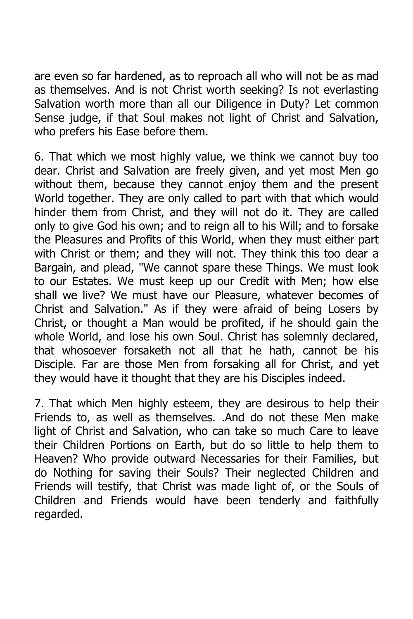are even so far hardened, as to reproach all who will not be as mad as themselves. And is not Christ worth seeking? Is not everlasting Salvation worth more than all our Diligence in Duty? Let common Sense judge, if that Soul makes not light of Christ and Salvation, who prefers his Ease before them.

6. That which we most highly value, we think we cannot buy too dear. Christ and Salvation are freely given, and yet most Men go without them, because they cannot enjoy them and the present World together. They are only called to part with that which would hinder them from Christ, and they will not do it. They are called only to give God his own; and to reign all to his Will; and to forsake the Pleasures and Profits of this World, when they must either part with Christ or them; and they will not. They think this too dear a Bargain, and plead, "We cannot spare these Things. We must look to our Estates. We must keep up our Credit with Men; how else shall we live? We must have our Pleasure, whatever becomes of Christ and Salvation." As if they were afraid of being Losers by Christ, or thought a Man would be profited, if he should gain the whole World, and lose his own Soul. Christ has solemnly declared, that whosoever forsaketh not all that he hath, cannot be his Disciple. Far are those Men from forsaking all for Christ, and yet they would have it thought that they are his Disciples indeed.

7. That which Men highly esteem, they are desirous to help their Friends to, as well as themselves. .And do not these Men make light of Christ and Salvation, who can take so much Care to leave their Children Portions on Earth, but do so little to help them to Heaven? Who provide outward Necessaries for their Families, but do Nothing for saving their Souls? Their neglected Children and Friends will testify, that Christ was made light of, or the Souls of Children and Friends would have been tenderly and faithfully regarded.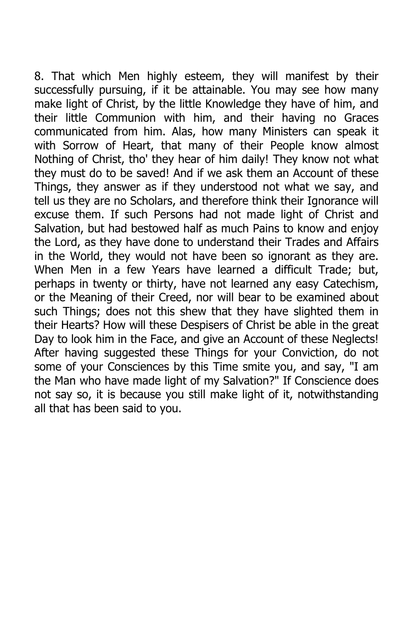8. That which Men highly esteem, they will manifest by their successfully pursuing, if it be attainable. You may see how many make light of Christ, by the little Knowledge they have of him, and their little Communion with him, and their having no Graces communicated from him. Alas, how many Ministers can speak it with Sorrow of Heart, that many of their People know almost Nothing of Christ, tho' they hear of him daily! They know not what they must do to be saved! And if we ask them an Account of these Things, they answer as if they understood not what we say, and tell us they are no Scholars, and therefore think their Ignorance will excuse them. If such Persons had not made light of Christ and Salvation, but had bestowed half as much Pains to know and enjoy the Lord, as they have done to understand their Trades and Affairs in the World, they would not have been so ignorant as they are. When Men in a few Years have learned a difficult Trade; but, perhaps in twenty or thirty, have not learned any easy Catechism, or the Meaning of their Creed, nor will bear to be examined about such Things; does not this shew that they have slighted them in their Hearts? How will these Despisers of Christ be able in the great Day to look him in the Face, and give an Account of these Neglects! After having suggested these Things for your Conviction, do not some of your Consciences by this Time smite you, and say, "I am the Man who have made light of my Salvation?" If Conscience does not say so, it is because you still make light of it, notwithstanding all that has been said to you.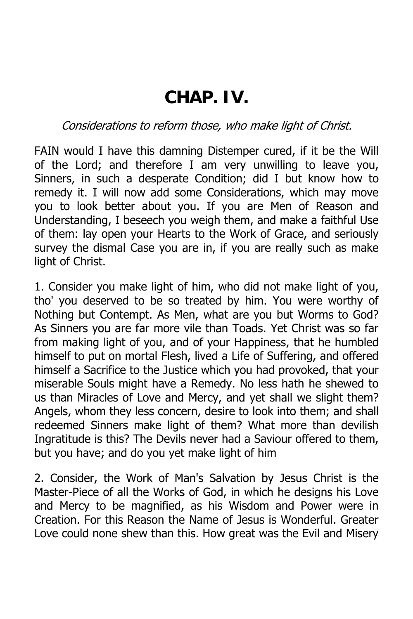## **CHAP. IV.**

Considerations to reform those, who make light of Christ.

FAIN would I have this damning Distemper cured, if it be the Will of the Lord; and therefore I am very unwilling to leave you, Sinners, in such a desperate Condition; did I but know how to remedy it. I will now add some Considerations, which may move you to look better about you. If you are Men of Reason and Understanding, I beseech you weigh them, and make a faithful Use of them: lay open your Hearts to the Work of Grace, and seriously survey the dismal Case you are in, if you are really such as make light of Christ.

1. Consider you make light of him, who did not make light of you, tho' you deserved to be so treated by him. You were worthy of Nothing but Contempt. As Men, what are you but Worms to God? As Sinners you are far more vile than Toads. Yet Christ was so far from making light of you, and of your Happiness, that he humbled himself to put on mortal Flesh, lived a Life of Suffering, and offered himself a Sacrifice to the Justice which you had provoked, that your miserable Souls might have a Remedy. No less hath he shewed to us than Miracles of Love and Mercy, and yet shall we slight them? Angels, whom they less concern, desire to look into them; and shall redeemed Sinners make light of them? What more than devilish Ingratitude is this? The Devils never had a Saviour offered to them, but you have; and do you yet make light of him

2. Consider, the Work of Man's Salvation by Jesus Christ is the Master-Piece of all the Works of God, in which he designs his Love and Mercy to be magnified, as his Wisdom and Power were in Creation. For this Reason the Name of Jesus is Wonderful. Greater Love could none shew than this. How great was the Evil and Misery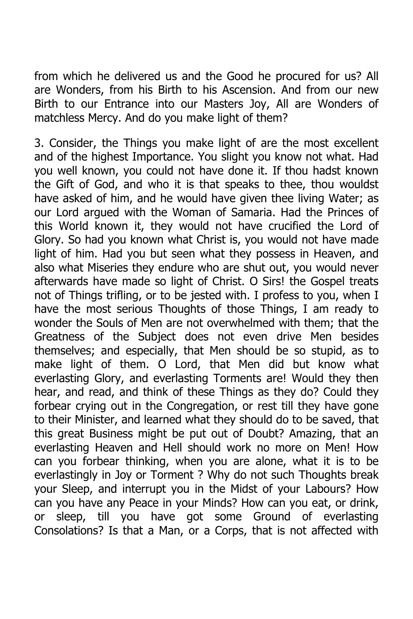from which he delivered us and the Good he procured for us? All are Wonders, from his Birth to his Ascension. And from our new Birth to our Entrance into our Masters Joy, All are Wonders of matchless Mercy. And do you make light of them?

3. Consider, the Things you make light of are the most excellent and of the highest Importance. You slight you know not what. Had you well known, you could not have done it. If thou hadst known the Gift of God, and who it is that speaks to thee, thou wouldst have asked of him, and he would have given thee living Water; as our Lord argued with the Woman of Samaria. Had the Princes of this World known it, they would not have crucified the Lord of Glory. So had you known what Christ is, you would not have made light of him. Had you but seen what they possess in Heaven, and also what Miseries they endure who are shut out, you would never afterwards have made so light of Christ. O Sirs! the Gospel treats not of Things trifling, or to be jested with. I profess to you, when I have the most serious Thoughts of those Things, I am ready to wonder the Souls of Men are not overwhelmed with them; that the Greatness of the Subject does not even drive Men besides themselves; and especially, that Men should be so stupid, as to make light of them. O Lord, that Men did but know what everlasting Glory, and everlasting Torments are! Would they then hear, and read, and think of these Things as they do? Could they forbear crying out in the Congregation, or rest till they have gone to their Minister, and learned what they should do to be saved, that this great Business might be put out of Doubt? Amazing, that an everlasting Heaven and Hell should work no more on Men! How can you forbear thinking, when you are alone, what it is to be everlastingly in Joy or Torment ? Why do not such Thoughts break your Sleep, and interrupt you in the Midst of your Labours? How can you have any Peace in your Minds? How can you eat, or drink, or sleep, till you have got some Ground of everlasting Consolations? Is that a Man, or a Corps, that is not affected with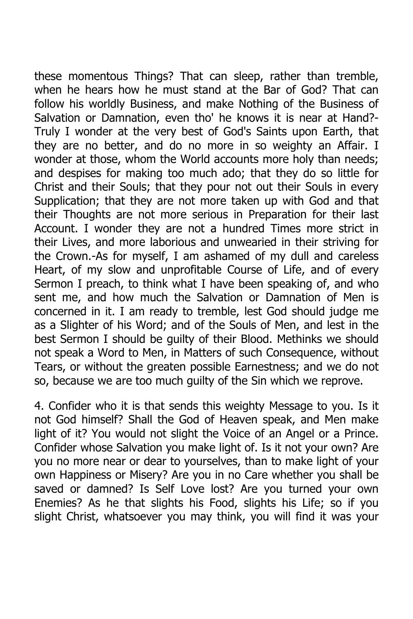these momentous Things? That can sleep, rather than tremble, when he hears how he must stand at the Bar of God? That can follow his worldly Business, and make Nothing of the Business of Salvation or Damnation, even tho' he knows it is near at Hand?- Truly I wonder at the very best of God's Saints upon Earth, that they are no better, and do no more in so weighty an Affair. I wonder at those, whom the World accounts more holy than needs; and despises for making too much ado; that they do so little for Christ and their Souls; that they pour not out their Souls in every Supplication; that they are not more taken up with God and that their Thoughts are not more serious in Preparation for their last Account. I wonder they are not a hundred Times more strict in their Lives, and more laborious and unwearied in their striving for the Crown.-As for myself, I am ashamed of my dull and careless Heart, of my slow and unprofitable Course of Life, and of every Sermon I preach, to think what I have been speaking of, and who sent me, and how much the Salvation or Damnation of Men is concerned in it. I am ready to tremble, lest God should judge me as a Slighter of his Word; and of the Souls of Men, and lest in the best Sermon I should be guilty of their Blood. Methinks we should not speak a Word to Men, in Matters of such Consequence, without Tears, or without the greaten possible Earnestness; and we do not so, because we are too much guilty of the Sin which we reprove.

4. Confider who it is that sends this weighty Message to you. Is it not God himself? Shall the God of Heaven speak, and Men make light of it? You would not slight the Voice of an Angel or a Prince. Confider whose Salvation you make light of. Is it not your own? Are you no more near or dear to yourselves, than to make light of your own Happiness or Misery? Are you in no Care whether you shall be saved or damned? Is Self Love lost? Are you turned your own Enemies? As he that slights his Food, slights his Life; so if you slight Christ, whatsoever you may think, you will find it was your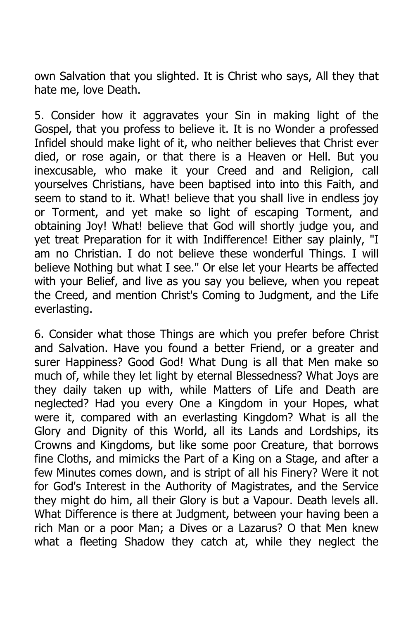own Salvation that you slighted. It is Christ who says, All they that hate me, love Death.

5. Consider how it aggravates your Sin in making light of the Gospel, that you profess to believe it. It is no Wonder a professed Infidel should make light of it, who neither believes that Christ ever died, or rose again, or that there is a Heaven or Hell. But you inexcusable, who make it your Creed and and Religion, call yourselves Christians, have been baptised into into this Faith, and seem to stand to it. What! believe that you shall live in endless joy or Torment, and yet make so light of escaping Torment, and obtaining Joy! What! believe that God will shortly judge you, and yet treat Preparation for it with Indifference! Either say plainly, "I am no Christian. I do not believe these wonderful Things. I will believe Nothing but what I see." Or else let your Hearts be affected with your Belief, and live as you say you believe, when you repeat the Creed, and mention Christ's Coming to Judgment, and the Life everlasting.

6. Consider what those Things are which you prefer before Christ and Salvation. Have you found a better Friend, or a greater and surer Happiness? Good God! What Dung is all that Men make so much of, while they let light by eternal Blessedness? What Joys are they daily taken up with, while Matters of Life and Death are neglected? Had you every One a Kingdom in your Hopes, what were it, compared with an everlasting Kingdom? What is all the Glory and Dignity of this World, all its Lands and Lordships, its Crowns and Kingdoms, but like some poor Creature, that borrows fine Cloths, and mimicks the Part of a King on a Stage, and after a few Minutes comes down, and is stript of all his Finery? Were it not for God's Interest in the Authority of Magistrates, and the Service they might do him, all their Glory is but a Vapour. Death levels all. What Difference is there at Judgment, between your having been a rich Man or a poor Man; a Dives or a Lazarus? O that Men knew what a fleeting Shadow they catch at, while they neglect the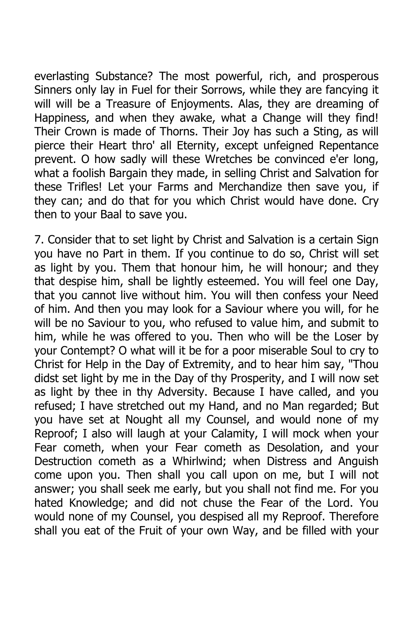everlasting Substance? The most powerful, rich, and prosperous Sinners only lay in Fuel for their Sorrows, while they are fancying it will will be a Treasure of Enjoyments. Alas, they are dreaming of Happiness, and when they awake, what a Change will they find! Their Crown is made of Thorns. Their Joy has such a Sting, as will pierce their Heart thro' all Eternity, except unfeigned Repentance prevent. O how sadly will these Wretches be convinced e'er long, what a foolish Bargain they made, in selling Christ and Salvation for these Trifles! Let your Farms and Merchandize then save you, if they can; and do that for you which Christ would have done. Cry then to your Baal to save you.

7. Consider that to set light by Christ and Salvation is a certain Sign you have no Part in them. If you continue to do so, Christ will set as light by you. Them that honour him, he will honour; and they that despise him, shall be lightly esteemed. You will feel one Day, that you cannot live without him. You will then confess your Need of him. And then you may look for a Saviour where you will, for he will be no Saviour to you, who refused to value him, and submit to him, while he was offered to you. Then who will be the Loser by your Contempt? O what will it be for a poor miserable Soul to cry to Christ for Help in the Day of Extremity, and to hear him say, "Thou didst set light by me in the Day of thy Prosperity, and I will now set as light by thee in thy Adversity. Because I have called, and you refused; I have stretched out my Hand, and no Man regarded; But you have set at Nought all my Counsel, and would none of my Reproof; I also will laugh at your Calamity, I will mock when your Fear cometh, when your Fear cometh as Desolation, and your Destruction cometh as a Whirlwind; when Distress and Anguish come upon you. Then shall you call upon on me, but I will not answer; you shall seek me early, but you shall not find me. For you hated Knowledge; and did not chuse the Fear of the Lord. You would none of my Counsel, you despised all my Reproof. Therefore shall you eat of the Fruit of your own Way, and be filled with your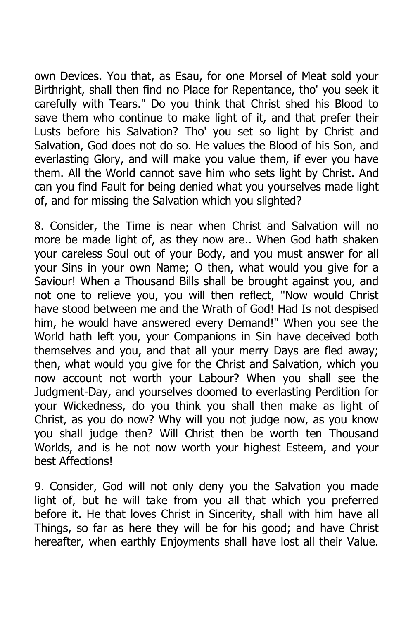own Devices. You that, as Esau, for one Morsel of Meat sold your Birthright, shall then find no Place for Repentance, tho' you seek it carefully with Tears." Do you think that Christ shed his Blood to save them who continue to make light of it, and that prefer their Lusts before his Salvation? Tho' you set so light by Christ and Salvation, God does not do so. He values the Blood of his Son, and everlasting Glory, and will make you value them, if ever you have them. All the World cannot save him who sets light by Christ. And can you find Fault for being denied what you yourselves made light of, and for missing the Salvation which you slighted?

8. Consider, the Time is near when Christ and Salvation will no more be made light of, as they now are.. When God hath shaken your careless Soul out of your Body, and you must answer for all your Sins in your own Name; O then, what would you give for a Saviour! When a Thousand Bills shall be brought against you, and not one to relieve you, you will then reflect, "Now would Christ have stood between me and the Wrath of God! Had Is not despised him, he would have answered every Demand!" When you see the World hath left you, your Companions in Sin have deceived both themselves and you, and that all your merry Days are fled away; then, what would you give for the Christ and Salvation, which you now account not worth your Labour? When you shall see the Judgment-Day, and yourselves doomed to everlasting Perdition for your Wickedness, do you think you shall then make as light of Christ, as you do now? Why will you not judge now, as you know you shall judge then? Will Christ then be worth ten Thousand Worlds, and is he not now worth your highest Esteem, and your best Affections!

9. Consider, God will not only deny you the Salvation you made light of, but he will take from you all that which you preferred before it. He that loves Christ in Sincerity, shall with him have all Things, so far as here they will be for his good; and have Christ hereafter, when earthly Enjoyments shall have lost all their Value.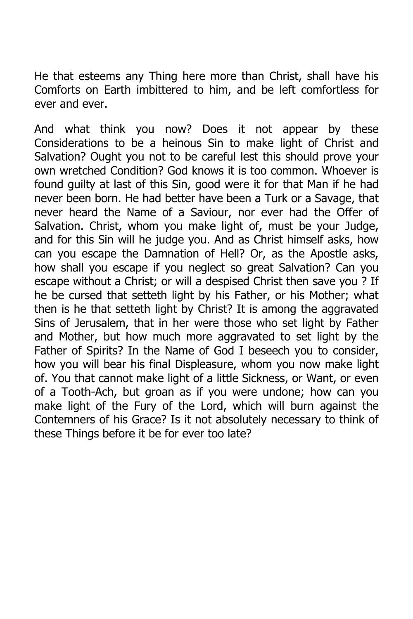He that esteems any Thing here more than Christ, shall have his Comforts on Earth imbittered to him, and be left comfortless for ever and ever.

And what think you now? Does it not appear by these Considerations to be a heinous Sin to make light of Christ and Salvation? Ought you not to be careful lest this should prove your own wretched Condition? God knows it is too common. Whoever is found guilty at last of this Sin, good were it for that Man if he had never been born. He had better have been a Turk or a Savage, that never heard the Name of a Saviour, nor ever had the Offer of Salvation. Christ, whom you make light of, must be your Judge, and for this Sin will he judge you. And as Christ himself asks, how can you escape the Damnation of Hell? Or, as the Apostle asks, how shall you escape if you neglect so great Salvation? Can you escape without a Christ; or will a despised Christ then save you ? If he be cursed that setteth light by his Father, or his Mother; what then is he that setteth light by Christ? It is among the aggravated Sins of Jerusalem, that in her were those who set light by Father and Mother, but how much more aggravated to set light by the Father of Spirits? In the Name of God I beseech you to consider, how you will bear his final Displeasure, whom you now make light of. You that cannot make light of a little Sickness, or Want, or even of a Tooth-Ach, but groan as if you were undone; how can you make light of the Fury of the Lord, which will burn against the Contemners of his Grace? Is it not absolutely necessary to think of these Things before it be for ever too late?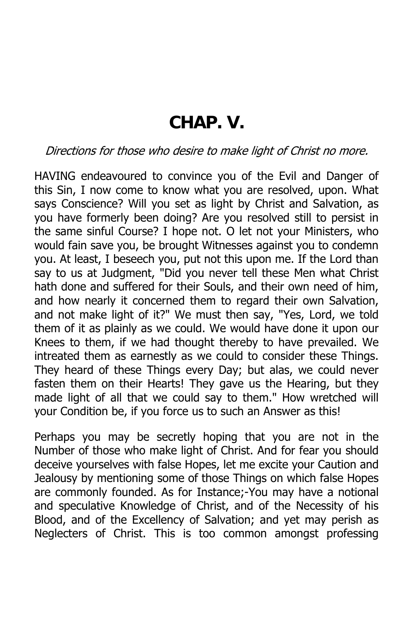### **CHAP. V.**

#### Directions for those who desire to make light of Christ no more.

HAVING endeavoured to convince you of the Evil and Danger of this Sin, I now come to know what you are resolved, upon. What says Conscience? Will you set as light by Christ and Salvation, as you have formerly been doing? Are you resolved still to persist in the same sinful Course? I hope not. O let not your Ministers, who would fain save you, be brought Witnesses against you to condemn you. At least, I beseech you, put not this upon me. If the Lord than say to us at Judgment, "Did you never tell these Men what Christ hath done and suffered for their Souls, and their own need of him, and how nearly it concerned them to regard their own Salvation, and not make light of it?" We must then say, "Yes, Lord, we told them of it as plainly as we could. We would have done it upon our Knees to them, if we had thought thereby to have prevailed. We intreated them as earnestly as we could to consider these Things. They heard of these Things every Day; but alas, we could never fasten them on their Hearts! They gave us the Hearing, but they made light of all that we could say to them." How wretched will your Condition be, if you force us to such an Answer as this!

Perhaps you may be secretly hoping that you are not in the Number of those who make light of Christ. And for fear you should deceive yourselves with false Hopes, let me excite your Caution and Jealousy by mentioning some of those Things on which false Hopes are commonly founded. As for Instance;-You may have a notional and speculative Knowledge of Christ, and of the Necessity of his Blood, and of the Excellency of Salvation; and yet may perish as Neglecters of Christ. This is too common amongst professing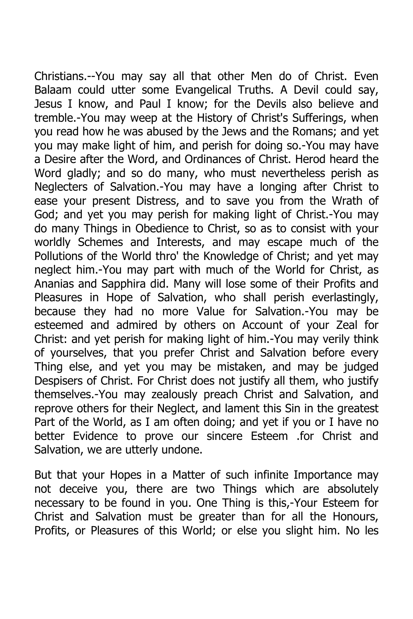Christians.--You may say all that other Men do of Christ. Even Balaam could utter some Evangelical Truths. A Devil could say, Jesus I know, and Paul I know; for the Devils also believe and tremble.-You may weep at the History of Christ's Sufferings, when you read how he was abused by the Jews and the Romans; and yet you may make light of him, and perish for doing so.-You may have a Desire after the Word, and Ordinances of Christ. Herod heard the Word gladly; and so do many, who must nevertheless perish as Neglecters of Salvation.-You may have a longing after Christ to ease your present Distress, and to save you from the Wrath of God; and yet you may perish for making light of Christ.-You may do many Things in Obedience to Christ, so as to consist with your worldly Schemes and Interests, and may escape much of the Pollutions of the World thro' the Knowledge of Christ; and yet may neglect him.-You may part with much of the World for Christ, as Ananias and Sapphira did. Many will lose some of their Profits and Pleasures in Hope of Salvation, who shall perish everlastingly, because they had no more Value for Salvation.-You may be esteemed and admired by others on Account of your Zeal for Christ: and yet perish for making light of him.-You may verily think of yourselves, that you prefer Christ and Salvation before every Thing else, and yet you may be mistaken, and may be judged Despisers of Christ. For Christ does not justify all them, who justify themselves.-You may zealously preach Christ and Salvation, and reprove others for their Neglect, and lament this Sin in the greatest Part of the World, as I am often doing; and yet if you or I have no better Evidence to prove our sincere Esteem .for Christ and Salvation, we are utterly undone.

But that your Hopes in a Matter of such infinite Importance may not deceive you, there are two Things which are absolutely necessary to be found in you. One Thing is this,-Your Esteem for Christ and Salvation must be greater than for all the Honours, Profits, or Pleasures of this World; or else you slight him. No les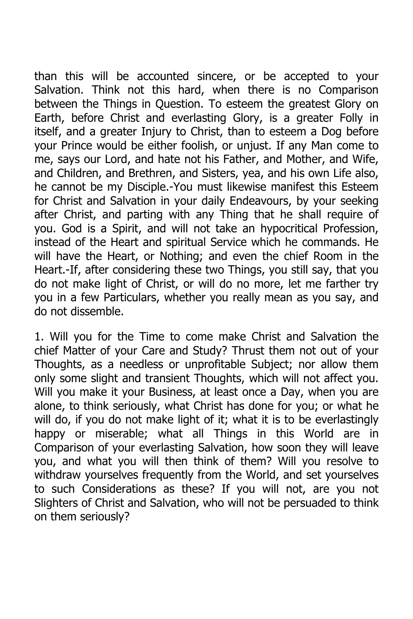than this will be accounted sincere, or be accepted to your Salvation. Think not this hard, when there is no Comparison between the Things in Question. To esteem the greatest Glory on Earth, before Christ and everlasting Glory, is a greater Folly in itself, and a greater Injury to Christ, than to esteem a Dog before your Prince would be either foolish, or unjust. If any Man come to me, says our Lord, and hate not his Father, and Mother, and Wife, and Children, and Brethren, and Sisters, yea, and his own Life also, he cannot be my Disciple.-You must likewise manifest this Esteem for Christ and Salvation in your daily Endeavours, by your seeking after Christ, and parting with any Thing that he shall require of you. God is a Spirit, and will not take an hypocritical Profession, instead of the Heart and spiritual Service which he commands. He will have the Heart, or Nothing; and even the chief Room in the Heart.-If, after considering these two Things, you still say, that you do not make light of Christ, or will do no more, let me farther try you in a few Particulars, whether you really mean as you say, and do not dissemble.

1. Will you for the Time to come make Christ and Salvation the chief Matter of your Care and Study? Thrust them not out of your Thoughts, as a needless or unprofitable Subject; nor allow them only some slight and transient Thoughts, which will not affect you. Will you make it your Business, at least once a Day, when you are alone, to think seriously, what Christ has done for you; or what he will do, if you do not make light of it; what it is to be everlastingly happy or miserable; what all Things in this World are in Comparison of your everlasting Salvation, how soon they will leave you, and what you will then think of them? Will you resolve to withdraw yourselves frequently from the World, and set yourselves to such Considerations as these? If you will not, are you not Slighters of Christ and Salvation, who will not be persuaded to think on them seriously?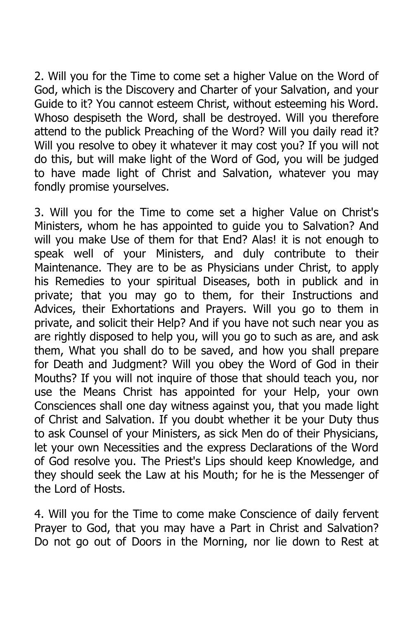2. Will you for the Time to come set a higher Value on the Word of God, which is the Discovery and Charter of your Salvation, and your Guide to it? You cannot esteem Christ, without esteeming his Word. Whoso despiseth the Word, shall be destroyed. Will you therefore attend to the publick Preaching of the Word? Will you daily read it? Will you resolve to obey it whatever it may cost you? If you will not do this, but will make light of the Word of God, you will be judged to have made light of Christ and Salvation, whatever you may fondly promise yourselves.

3. Will you for the Time to come set a higher Value on Christ's Ministers, whom he has appointed to guide you to Salvation? And will you make Use of them for that End? Alas! it is not enough to speak well of your Ministers, and duly contribute to their Maintenance. They are to be as Physicians under Christ, to apply his Remedies to your spiritual Diseases, both in publick and in private; that you may go to them, for their Instructions and Advices, their Exhortations and Prayers. Will you go to them in private, and solicit their Help? And if you have not such near you as are rightly disposed to help you, will you go to such as are, and ask them, What you shall do to be saved, and how you shall prepare for Death and Judgment? Will you obey the Word of God in their Mouths? If you will not inquire of those that should teach you, nor use the Means Christ has appointed for your Help, your own Consciences shall one day witness against you, that you made light of Christ and Salvation. If you doubt whether it be your Duty thus to ask Counsel of your Ministers, as sick Men do of their Physicians, let your own Necessities and the express Declarations of the Word of God resolve you. The Priest's Lips should keep Knowledge, and they should seek the Law at his Mouth; for he is the Messenger of the Lord of Hosts.

4. Will you for the Time to come make Conscience of daily fervent Prayer to God, that you may have a Part in Christ and Salvation? Do not go out of Doors in the Morning, nor lie down to Rest at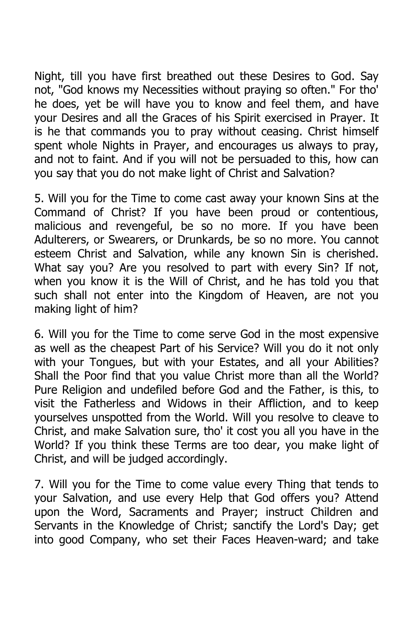Night, till you have first breathed out these Desires to God. Say not, "God knows my Necessities without praying so often." For tho' he does, yet be will have you to know and feel them, and have your Desires and all the Graces of his Spirit exercised in Prayer. It is he that commands you to pray without ceasing. Christ himself spent whole Nights in Prayer, and encourages us always to pray, and not to faint. And if you will not be persuaded to this, how can you say that you do not make light of Christ and Salvation?

5. Will you for the Time to come cast away your known Sins at the Command of Christ? If you have been proud or contentious, malicious and revengeful, be so no more. If you have been Adulterers, or Swearers, or Drunkards, be so no more. You cannot esteem Christ and Salvation, while any known Sin is cherished. What say you? Are you resolved to part with every Sin? If not, when you know it is the Will of Christ, and he has told you that such shall not enter into the Kingdom of Heaven, are not you making light of him?

6. Will you for the Time to come serve God in the most expensive as well as the cheapest Part of his Service? Will you do it not only with your Tongues, but with your Estates, and all your Abilities? Shall the Poor find that you value Christ more than all the World? Pure Religion and undefiled before God and the Father, is this, to visit the Fatherless and Widows in their Affliction, and to keep yourselves unspotted from the World. Will you resolve to cleave to Christ, and make Salvation sure, tho' it cost you all you have in the World? If you think these Terms are too dear, you make light of Christ, and will be judged accordingly.

7. Will you for the Time to come value every Thing that tends to your Salvation, and use every Help that God offers you? Attend upon the Word, Sacraments and Prayer; instruct Children and Servants in the Knowledge of Christ; sanctify the Lord's Day; get into good Company, who set their Faces Heaven-ward; and take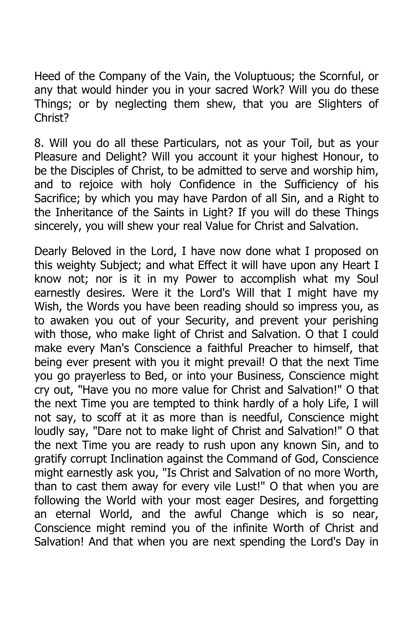Heed of the Company of the Vain, the Voluptuous; the Scornful, or any that would hinder you in your sacred Work? Will you do these Things; or by neglecting them shew, that you are Slighters of Christ?

8. Will you do all these Particulars, not as your Toil, but as your Pleasure and Delight? Will you account it your highest Honour, to be the Disciples of Christ, to be admitted to serve and worship him, and to rejoice with holy Confidence in the Sufficiency of his Sacrifice; by which you may have Pardon of all Sin, and a Right to the Inheritance of the Saints in Light? If you will do these Things sincerely, you will shew your real Value for Christ and Salvation.

Dearly Beloved in the Lord, I have now done what I proposed on this weighty Subject; and what Effect it will have upon any Heart I know not; nor is it in my Power to accomplish what my Soul earnestly desires. Were it the Lord's Will that I might have my Wish, the Words you have been reading should so impress you, as to awaken you out of your Security, and prevent your perishing with those, who make light of Christ and Salvation. O that I could make every Man's Conscience a faithful Preacher to himself, that being ever present with you it might prevail! O that the next Time you go prayerless to Bed, or into your Business, Conscience might cry out, "Have you no more value for Christ and Salvation!" O that the next Time you are tempted to think hardly of a holy Life, I will not say, to scoff at it as more than is needful, Conscience might loudly say, "Dare not to make light of Christ and Salvation!" O that the next Time you are ready to rush upon any known Sin, and to gratify corrupt Inclination against the Command of God, Conscience might earnestly ask you, "Is Christ and Salvation of no more Worth, than to cast them away for every vile Lust!" O that when you are following the World with your most eager Desires, and forgetting an eternal World, and the awful Change which is so near, Conscience might remind you of the infinite Worth of Christ and Salvation! And that when you are next spending the Lord's Day in